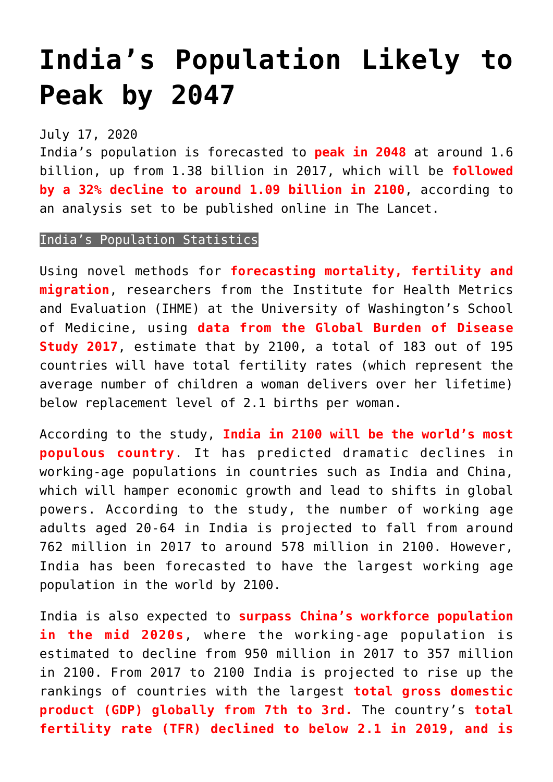## **[India's Population Likely to](https://journalsofindia.com/indias-population-likely-to-peak-by-2047/) [Peak by 2047](https://journalsofindia.com/indias-population-likely-to-peak-by-2047/)**

## July 17, 2020

India's population is forecasted to **peak in 2048** at around 1.6 billion, up from 1.38 billion in 2017, which will be **followed by a 32% decline to around 1.09 billion in 2100**, according to an analysis set to be published online in The Lancet.

## India's Population Statistics

Using novel methods for **forecasting mortality, fertility and migration**, researchers from the Institute for Health Metrics and Evaluation (IHME) at the University of Washington's School of Medicine, using **data from the Global Burden of Disease Study 2017**, estimate that by 2100, a total of 183 out of 195 countries will have total fertility rates (which represent the average number of children a woman delivers over her lifetime) below replacement level of 2.1 births per woman.

According to the study, **India in 2100 will be the world's most populous country**. It has predicted dramatic declines in working-age populations in countries such as India and China, which will hamper economic growth and lead to shifts in global powers. According to the study, the number of working age adults aged 20-64 in India is projected to fall from around 762 million in 2017 to around 578 million in 2100. However, India has been forecasted to have the largest working age population in the world by 2100.

India is also expected to **surpass China's workforce population in the mid 2020s**, where the working-age population is estimated to decline from 950 million in 2017 to 357 million in 2100. From 2017 to 2100 India is projected to rise up the rankings of countries with the largest **total gross domestic product (GDP) globally from 7th to 3rd.** The country's **total fertility rate (TFR) declined to below 2.1 in 2019, and is**